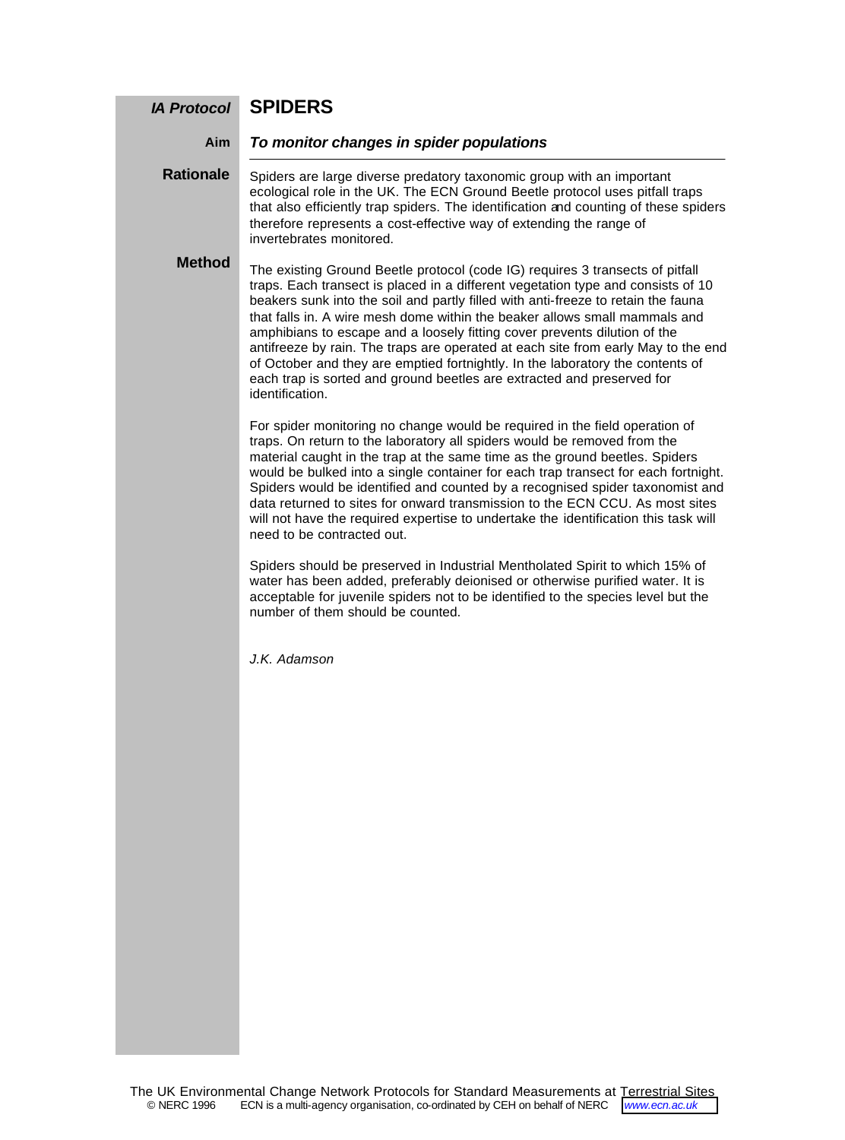### **SPIDERS** *IA Protocol*

#### *To monitor changes in spider populations* **Aim**

Spiders are large diverse predatory taxonomic group with an important ecological role in the UK. The ECN Ground Beetle protocol uses pitfall traps that also efficiently trap spiders. The identification and counting of these spiders therefore represents a cost-effective way of extending the range of invertebrates monitored. **Rationale**

## **Method**

The existing Ground Beetle protocol (code IG) requires 3 transects of pitfall traps. Each transect is placed in a different vegetation type and consists of 10 beakers sunk into the soil and partly filled with anti-freeze to retain the fauna that falls in. A wire mesh dome within the beaker allows small mammals and amphibians to escape and a loosely fitting cover prevents dilution of the antifreeze by rain. The traps are operated at each site from early May to the end of October and they are emptied fortnightly. In the laboratory the contents of each trap is sorted and ground beetles are extracted and preserved for identification.

For spider monitoring no change would be required in the field operation of traps. On return to the laboratory all spiders would be removed from the material caught in the trap at the same time as the ground beetles. Spiders would be bulked into a single container for each trap transect for each fortnight. Spiders would be identified and counted by a recognised spider taxonomist and data returned to sites for onward transmission to the ECN CCU. As most sites will not have the required expertise to undertake the identification this task will need to be contracted out.

Spiders should be preserved in Industrial Mentholated Spirit to which 15% of water has been added, preferably deionised or otherwise purified water. It is acceptable for juvenile spiders not to be identified to the species level but the number of them should be counted.

*J.K. Adamson*